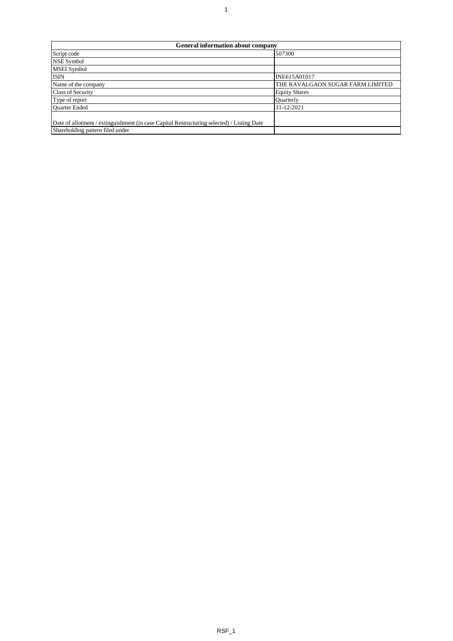| <b>General information about company</b>                                                   |                                  |  |  |  |  |  |  |  |  |  |  |
|--------------------------------------------------------------------------------------------|----------------------------------|--|--|--|--|--|--|--|--|--|--|
| Script code                                                                                | 507300                           |  |  |  |  |  |  |  |  |  |  |
| <b>NSE Symbol</b>                                                                          |                                  |  |  |  |  |  |  |  |  |  |  |
| <b>MSEI</b> Symbol                                                                         |                                  |  |  |  |  |  |  |  |  |  |  |
| <b>ISIN</b>                                                                                | INE615A01017                     |  |  |  |  |  |  |  |  |  |  |
| Name of the company                                                                        | THE RAVALGAON SUGAR FARM LIMITED |  |  |  |  |  |  |  |  |  |  |
| <b>Class of Security</b>                                                                   | <b>Equity Shares</b>             |  |  |  |  |  |  |  |  |  |  |
| Type of report                                                                             | <b>Ouarterly</b>                 |  |  |  |  |  |  |  |  |  |  |
| Quarter Ended                                                                              | 31-12-2021                       |  |  |  |  |  |  |  |  |  |  |
|                                                                                            |                                  |  |  |  |  |  |  |  |  |  |  |
| Date of allotment / extinguishment (in case Capital Restructuring selected) / Listing Date |                                  |  |  |  |  |  |  |  |  |  |  |
| Shareholding pattern filed under                                                           |                                  |  |  |  |  |  |  |  |  |  |  |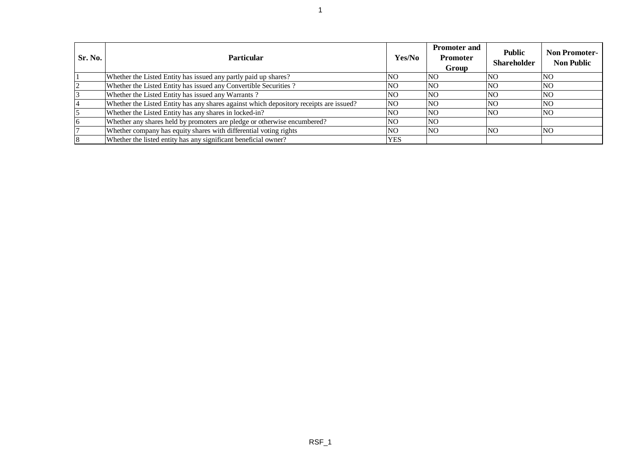| Sr. No. | <b>Particular</b>                                                                      | Yes/No         | <b>Promoter and</b><br><b>Promoter</b><br>Group | <b>Public</b><br><b>Shareholder</b> | <b>Non Promoter-</b><br><b>Non Public</b> |
|---------|----------------------------------------------------------------------------------------|----------------|-------------------------------------------------|-------------------------------------|-------------------------------------------|
|         | Whether the Listed Entity has issued any partly paid up shares?                        | NO.            | <b>NO</b>                                       | NO.                                 | <b>NO</b>                                 |
|         | Whether the Listed Entity has issued any Convertible Securities?                       | <b>NO</b>      | <b>NO</b>                                       | <b>NO</b>                           | <b>NO</b>                                 |
|         | Whether the Listed Entity has issued any Warrants?                                     | N <sub>O</sub> | N <sub>O</sub>                                  | NO.                                 | <b>NO</b>                                 |
|         | Whether the Listed Entity has any shares against which depository receipts are issued? | <b>NO</b>      | <b>NO</b>                                       | <b>NO</b>                           | <b>NO</b>                                 |
|         | Whether the Listed Entity has any shares in locked-in?                                 | <b>NO</b>      | <b>NO</b>                                       | NO.                                 | <b>NO</b>                                 |
|         | Whether any shares held by promoters are pledge or otherwise encumbered?               | NO.            | <b>NO</b>                                       |                                     |                                           |
|         | Whether company has equity shares with differential voting rights                      | NO.            | <b>NO</b>                                       | 'NO                                 | <b>NO</b>                                 |
|         | Whether the listed entity has any significant beneficial owner?                        | <b>YES</b>     |                                                 |                                     |                                           |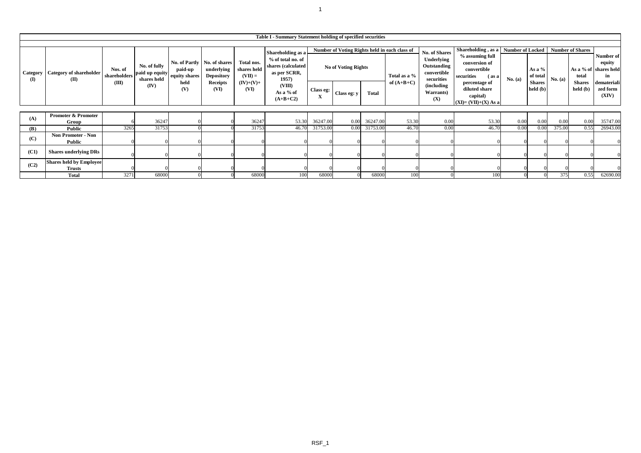|                          | Table I - Summary Statement holding of specified securities |                                  |                                                       |                                         |                                                                                      |                                                               |                                                                                                                            |                          |                                                                                                     |          |                              |                                                                                                           |                                                                                                                                                                       |                             |                                                   |         |                                                               |                                                                                        |
|--------------------------|-------------------------------------------------------------|----------------------------------|-------------------------------------------------------|-----------------------------------------|--------------------------------------------------------------------------------------|---------------------------------------------------------------|----------------------------------------------------------------------------------------------------------------------------|--------------------------|-----------------------------------------------------------------------------------------------------|----------|------------------------------|-----------------------------------------------------------------------------------------------------------|-----------------------------------------------------------------------------------------------------------------------------------------------------------------------|-----------------------------|---------------------------------------------------|---------|---------------------------------------------------------------|----------------------------------------------------------------------------------------|
| Category<br>$\mathbf{I}$ | <b>Category of shareholder</b><br>(II)                      | Nos. of<br>shareholders<br>(III) | No. of fully<br>paid up equity<br>shares held<br>(IV) | paid-up<br>equity shares<br>held<br>(V) | No. of Partly   No. of shares<br>underlying<br><b>Depository</b><br>Receipts<br>(VI) | Total nos.<br>shares held<br>$(VII) =$<br>$(IV)+(V)+$<br>(VI) | Shareholding as a<br>% of total no. of<br>shares (calculated<br>as per SCRR,<br>1957)<br>(VIII)<br>As a % of<br>$(A+B+C2)$ | Class eg:<br>$\mathbf X$ | Number of Voting Rights held in each class of<br>No of Voting Rights<br>Class eg: y<br><b>Total</b> |          | Total as a %<br>of $(A+B+C)$ | No. of Shares<br>Underlying<br>Outstanding<br>convertible<br>securities<br>(including<br>Warrants)<br>(X) | Shareholding, as a<br>% assuming full<br>conversion of<br>convertible<br>securities<br>(as a<br>percentage of<br>diluted share<br>capital)<br>$(XI) = (VII)+(X) As a$ | Number of Locked<br>No. (a) | As a $%$<br>of total<br><b>Shares</b><br>held (b) | No. (a) | <b>Number of Shares</b><br>total<br><b>Shares</b><br>held (b) | Number of<br>equity<br>As a % of shares held<br>in<br>demateriali<br>zed form<br>(XIV) |
|                          | <b>Promoter &amp; Promoter</b>                              |                                  |                                                       |                                         |                                                                                      |                                                               |                                                                                                                            |                          |                                                                                                     |          |                              |                                                                                                           |                                                                                                                                                                       |                             |                                                   |         |                                                               |                                                                                        |
| (A)                      | Group                                                       |                                  | 36247                                                 |                                         |                                                                                      | 36247                                                         | 53.30                                                                                                                      | 36247.00                 | 0.00                                                                                                | 36247.00 | 53.30                        | 0.00                                                                                                      | 53.30                                                                                                                                                                 | 0.00                        | 0.00                                              | 0.00    | 0.00                                                          | 35747.00                                                                               |
| (B)                      | Public                                                      | 3265                             | 31753                                                 |                                         |                                                                                      | 31753                                                         | 46.70                                                                                                                      | 31753.00                 | 0.00                                                                                                | 31753.00 | 46.70                        | 0.00                                                                                                      | 46.70                                                                                                                                                                 | 0.00                        | 0.00                                              | 375.00  | 0.55                                                          | 26943.00                                                                               |
| (C)                      | <b>Non Promoter - Non</b><br>Public                         |                                  |                                                       |                                         |                                                                                      |                                                               |                                                                                                                            |                          |                                                                                                     |          |                              |                                                                                                           |                                                                                                                                                                       |                             |                                                   |         |                                                               |                                                                                        |
| (C1)                     | <b>Shares underlying DRs</b>                                |                                  |                                                       |                                         |                                                                                      |                                                               |                                                                                                                            |                          |                                                                                                     |          |                              |                                                                                                           |                                                                                                                                                                       | $\Omega$                    |                                                   |         |                                                               |                                                                                        |
| (C2)                     | <b>Shares held by Employee</b><br>Trusts                    |                                  |                                                       |                                         |                                                                                      |                                                               |                                                                                                                            |                          |                                                                                                     |          |                              |                                                                                                           |                                                                                                                                                                       |                             |                                                   |         |                                                               |                                                                                        |
|                          | <b>Total</b>                                                | 3271                             | 68000                                                 |                                         |                                                                                      | 68000                                                         | 100                                                                                                                        | 68000                    |                                                                                                     | 68000    | 100                          |                                                                                                           | 100                                                                                                                                                                   |                             |                                                   | 375     | 0.55                                                          | 62690.00                                                                               |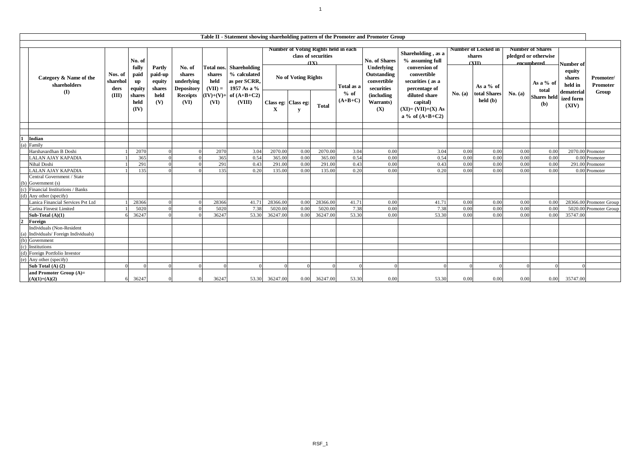|                | Table II - Statement showing shareholding pattern of the Promoter and Promoter Group |                                                       |                               |                                       |                                                     |                             |                                                                                                                      |                                                                            |                            |          |                     |                                                             |                                                                         |         |                                   |           |                                    |                                           |                                       |
|----------------|--------------------------------------------------------------------------------------|-------------------------------------------------------|-------------------------------|---------------------------------------|-----------------------------------------------------|-----------------------------|----------------------------------------------------------------------------------------------------------------------|----------------------------------------------------------------------------|----------------------------|----------|---------------------|-------------------------------------------------------------|-------------------------------------------------------------------------|---------|-----------------------------------|-----------|------------------------------------|-------------------------------------------|---------------------------------------|
|                |                                                                                      | <b>Number of Locked in</b><br><b>Number of Shares</b> |                               |                                       |                                                     |                             |                                                                                                                      |                                                                            |                            |          |                     |                                                             |                                                                         |         |                                   |           |                                    |                                           |                                       |
|                | Category & Name of the<br>shareholders<br>$($ $\Gamma$                               |                                                       | No. of                        |                                       |                                                     |                             | <b>Total nos.</b> Shareholding<br>% calculated<br>as per SCRR,<br>1957 As a %<br>$(IV)+(V)+$ of $(A+B+C2)$<br>(VIII) | <b>Number of Voting Rights held in each</b><br>class of securities<br>(TX) |                            |          |                     | No. of Shares                                               | Shareholding, as a<br>% assuming full<br>conversion of                  |         | shares<br>(XII)                   |           | pledged or otherwise<br>encumbered | Number of                                 |                                       |
|                |                                                                                      | Nos. of<br>sharehol<br>ders                           | fully<br>paid<br>up<br>equity | Partly<br>paid-up<br>equity<br>shares | No. of<br>shares<br>underlying<br><b>Depository</b> | shares<br>held<br>$(VII) =$ |                                                                                                                      |                                                                            | <b>No of Voting Rights</b> |          | Total as a          | Underlying<br>Outstanding<br>$\,$ convertible<br>securities | convertible<br>securities (as a<br>percentage of                        |         | As a $%$ of                       |           | As a % of<br>total                 | equity<br>shares<br>held in<br>dematerial | Promoter/<br><b>Promoter</b><br>Group |
|                |                                                                                      | (III)                                                 | shares<br>held<br>(IV)        | held<br>(V)                           | <b>Receipts</b><br>(VI)                             | (VI)                        |                                                                                                                      | Class eg: Class eg:<br>X                                                   | y                          | Total    | $%$ of<br>$(A+B+C)$ | (including<br>Warrants)<br>(X)                              | diluted share<br>capital)<br>$(XI) = (VII)+(X) As$<br>a % of $(A+B+C2)$ | No. (a) | total Shares<br>$\text{held }(b)$ | No. $(a)$ | <b>Shares</b> held<br>(b)          | ized form<br>(XIV)                        |                                       |
|                |                                                                                      |                                                       |                               |                                       |                                                     |                             |                                                                                                                      |                                                                            |                            |          |                     |                                                             |                                                                         |         |                                   |           |                                    |                                           |                                       |
|                |                                                                                      |                                                       |                               |                                       |                                                     |                             |                                                                                                                      |                                                                            |                            |          |                     |                                                             |                                                                         |         |                                   |           |                                    |                                           |                                       |
| 1              | Indian                                                                               |                                                       |                               |                                       |                                                     |                             |                                                                                                                      |                                                                            |                            |          |                     |                                                             |                                                                         |         |                                   |           |                                    |                                           |                                       |
|                | $(a)$ Family                                                                         |                                                       |                               |                                       |                                                     |                             |                                                                                                                      |                                                                            |                            |          |                     |                                                             |                                                                         |         |                                   |           |                                    |                                           |                                       |
|                | Harshavardhan B Doshi                                                                |                                                       | 2070                          |                                       |                                                     | 2070                        | 3.04                                                                                                                 | 2070.00                                                                    | 0.00                       | 2070.00  | 3.04                | 0.00                                                        | 3.04                                                                    | 0.00    | 0.00                              | 0.00      | 0.00                               |                                           | 2070.00 Promoter                      |
|                | LALAN AJAY KAPADIA                                                                   |                                                       | 365                           |                                       |                                                     | 365                         | 0.54                                                                                                                 | 365.00                                                                     | 0.00                       | 365.00   | 0.54                | 0.00                                                        | 0.54                                                                    | 0.00    | 0.00                              | 0.00      | 0.00                               |                                           | 0.00 Promoter                         |
|                | Nihal Doshi                                                                          |                                                       | 291                           |                                       |                                                     | 291                         | 0.43                                                                                                                 | 291.00                                                                     | 0.00                       | 291.00   | 0.43                | 0.00                                                        | 0.43                                                                    | 0.00    | 0.00                              | 0.00      | 0.00<br>0.00                       |                                           | 291.00 Promoter                       |
|                | <b>LALAN AJAY KAPADIA</b><br>Central Government / State                              |                                                       | 135                           |                                       |                                                     | 135                         | 0.20                                                                                                                 | 135.00                                                                     | 0.00                       | 135.00   | 0.20                | 0.00                                                        | 0.20                                                                    | 0.00    | 0.00                              | 0.00      |                                    |                                           | 0.00 Promoter                         |
|                | (b) Government (s)                                                                   |                                                       |                               |                                       |                                                     |                             |                                                                                                                      |                                                                            |                            |          |                     |                                                             |                                                                         |         |                                   |           |                                    |                                           |                                       |
|                | (c) Financial Institutions / Banks                                                   |                                                       |                               |                                       |                                                     |                             |                                                                                                                      |                                                                            |                            |          |                     |                                                             |                                                                         |         |                                   |           |                                    |                                           |                                       |
|                | (d) Any other (specify)                                                              |                                                       |                               |                                       |                                                     |                             |                                                                                                                      |                                                                            |                            |          |                     |                                                             |                                                                         |         |                                   |           |                                    |                                           |                                       |
|                | Lanica Financial Services Pvt Ltd                                                    |                                                       | 28366                         |                                       |                                                     | 28366                       | 41.71                                                                                                                | 28366.00                                                                   | 0.0                        | 28366.00 | 41.71               | 0.00                                                        | 41.71                                                                   | 0.00    | 0.00                              | 0.00      | 0.00                               |                                           | 28366.00 Promoter Group               |
|                | Carina Finvest Limited                                                               |                                                       | 5020                          |                                       |                                                     | 5020                        | 7.38                                                                                                                 | 5020.00                                                                    | 0.00                       | 5020.00  | 7.38                | 0.00                                                        | 7.38                                                                    | 0.00    | 0.00                              | 0.00      | 0.00                               |                                           | 5020.00 Promoter Group                |
|                | Sub-Total $(A)(1)$                                                                   |                                                       | 36247                         |                                       |                                                     | 36247                       | 53.30                                                                                                                | 36247.00                                                                   | 0.0                        | 36247.00 | 53.30               | 0.00                                                        | 53.30                                                                   | 0.00    | 0.00                              | 0.00      | 0.00                               | 35747.00                                  |                                       |
| $\overline{2}$ | Foreign                                                                              |                                                       |                               |                                       |                                                     |                             |                                                                                                                      |                                                                            |                            |          |                     |                                                             |                                                                         |         |                                   |           |                                    |                                           |                                       |
|                | Individuals (Non-Resident                                                            |                                                       |                               |                                       |                                                     |                             |                                                                                                                      |                                                                            |                            |          |                     |                                                             |                                                                         |         |                                   |           |                                    |                                           |                                       |
|                | a) Individuals/ Foreign Individuals)                                                 |                                                       |                               |                                       |                                                     |                             |                                                                                                                      |                                                                            |                            |          |                     |                                                             |                                                                         |         |                                   |           |                                    |                                           |                                       |
|                | (b) Government                                                                       |                                                       |                               |                                       |                                                     |                             |                                                                                                                      |                                                                            |                            |          |                     |                                                             |                                                                         |         |                                   |           |                                    |                                           |                                       |
|                | (c) Institutions                                                                     |                                                       |                               |                                       |                                                     |                             |                                                                                                                      |                                                                            |                            |          |                     |                                                             |                                                                         |         |                                   |           |                                    |                                           |                                       |
|                | (d) Foreign Portfolio Investor                                                       |                                                       |                               |                                       |                                                     |                             |                                                                                                                      |                                                                            |                            |          |                     |                                                             |                                                                         |         |                                   |           |                                    |                                           |                                       |
|                | (e) Any other (specify)                                                              |                                                       |                               |                                       |                                                     |                             |                                                                                                                      |                                                                            |                            |          |                     |                                                             |                                                                         |         |                                   |           |                                    |                                           |                                       |
|                | Sub Total (A) (2)                                                                    |                                                       |                               |                                       |                                                     |                             |                                                                                                                      |                                                                            |                            |          |                     |                                                             |                                                                         |         |                                   |           |                                    |                                           |                                       |
|                | and Promoter Group (A)=                                                              |                                                       |                               |                                       |                                                     |                             |                                                                                                                      |                                                                            |                            |          |                     |                                                             |                                                                         |         |                                   |           |                                    |                                           |                                       |
|                | $(A)(1)+(A)(2)$                                                                      |                                                       | 36247                         |                                       |                                                     | 36247                       | 53.30                                                                                                                | 36247.00                                                                   | 0.00                       | 36247.00 | 53.30               | 0.00                                                        | 53.30                                                                   | 0.00    | 0.00                              | 0.00      | 0.00                               | 35747.00                                  |                                       |